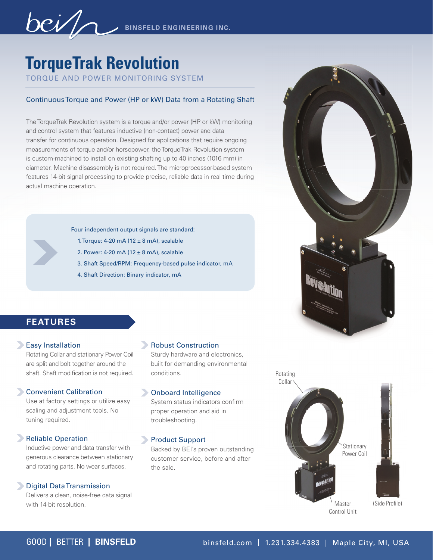**BINSFELD ENGINEERING INC.** 

# **TorqueTrak Revolution**

TORQUE AND POWER MONITORING SYSTEM

#### Continuous Torque and Power (HP or kW) Data from a Rotating Shaft

The TorqueTrak Revolution system is a torque and/or power (HP or kW) monitoring and control system that features inductive (non-contact) power and data transfer for continuous operation. Designed for applications that require ongoing measurements of torque and/or horsepower, the TorqueTrak Revolution system is custom-machined to install on existing shafting up to 40 inches (1016 mm) in diameter. Machine disassembly is not required. The microprocessor-based system features 14-bit signal processing to provide precise, reliable data in real time during actual machine operation.

Four independent output signals are standard:

- 1. Torque: 4-20 mA (12  $\pm$  8 mA), scalable
- 2. Power: 4-20 mA (12  $\pm$  8 mA), scalable
- 3. Shaft Speed/RPM: Frequency-based pulse indicator, mA
- 4. Shaft Direction: Binary indicator, mA



## **FEATURES**

#### **Easy Installation**

Rotating Collar and stationary Power Coil are split and bolt together around the shaft. Shaft modification is not required.

#### Convenient Calibration

Use at factory settings or utilize easy scaling and adjustment tools. No tuning required.

#### **Reliable Operation**

Inductive power and data transfer with generous clearance between stationary and rotating parts. No wear surfaces.

#### **Digital Data Transmission**

Delivers a clean, noise-free data signal with 14-bit resolution.

#### Robust Construction

Sturdy hardware and electronics, built for demanding environmental conditions.

#### Onboard Intelligence

System status indicators confirm proper operation and aid in troubleshooting.

#### **Product Support**

Backed by BEI's proven outstanding customer service, before and after the sale.